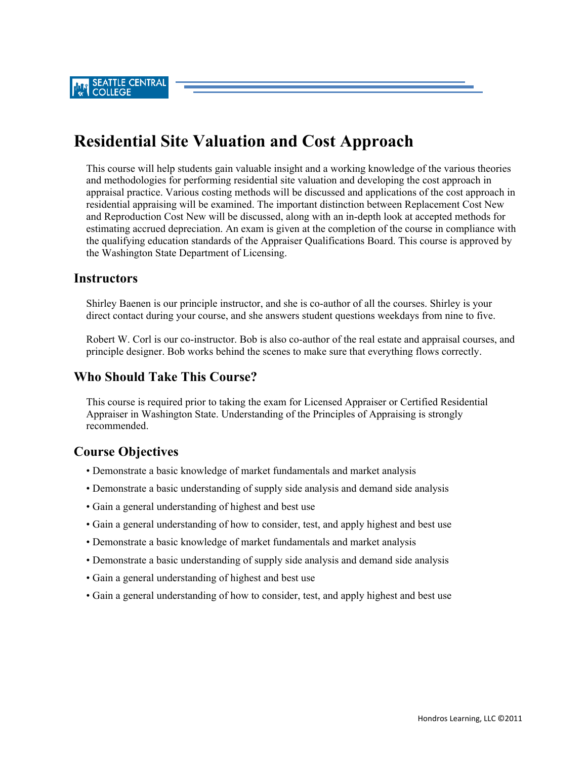**SEATTLE CENTRAL COLLEGE** 

# **Residential Site Valuation and Cost Approach**

This course will help students gain valuable insight and a working knowledge of the various theories and methodologies for performing residential site valuation and developing the cost approach in appraisal practice. Various costing methods will be discussed and applications of the cost approach in residential appraising will be examined. The important distinction between Replacement Cost New and Reproduction Cost New will be discussed, along with an in-depth look at accepted methods for estimating accrued depreciation. An exam is given at the completion of the course in compliance with the qualifying education standards of the Appraiser Qualifications Board. This course is approved by the Washington State Department of Licensing.

#### **Instructors**

Shirley Baenen is our principle instructor, and she is co-author of all the courses. Shirley is your direct contact during your course, and she answers student questions weekdays from nine to five.

Robert W. Corl is our co-instructor. Bob is also co-author of the real estate and appraisal courses, and principle designer. Bob works behind the scenes to make sure that everything flows correctly.

## **Who Should Take This Course?**

This course is required prior to taking the exam for Licensed Appraiser or Certified Residential Appraiser in Washington State. Understanding of the Principles of Appraising is strongly recommended.

## **Course Objectives**

- Demonstrate a basic knowledge of market fundamentals and market analysis
- Demonstrate a basic understanding of supply side analysis and demand side analysis
- Gain a general understanding of highest and best use
- Gain a general understanding of how to consider, test, and apply highest and best use
- Demonstrate a basic knowledge of market fundamentals and market analysis
- Demonstrate a basic understanding of supply side analysis and demand side analysis
- Gain a general understanding of highest and best use
- Gain a general understanding of how to consider, test, and apply highest and best use